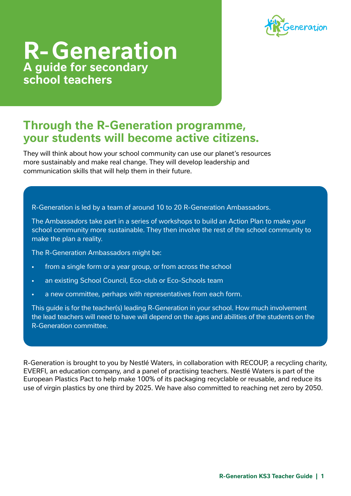

# **R- Generation A guide for secondary school teachers**

### **Through the R-Generation programme, your students will become active citizens.**

They will think about how your school community can use our planet's resources more sustainably and make real change. They will develop leadership and communication skills that will help them in their future.

R-Generation is led by a team of around 10 to 20 R-Generation Ambassadors.

The Ambassadors take part in a series of workshops to build an Action Plan to make your school community more sustainable. They then involve the rest of the school community to make the plan a reality.

The R-Generation Ambassadors might be:

- from a single form or a year group, or from across the school
- an existing School Council, Eco-club or Eco-Schools team
- a new committee, perhaps with representatives from each form.

This guide is for the teacher(s) leading R-Generation in your school. How much involvement the lead teachers will need to have will depend on the ages and abilities of the students on the R-Generation committee.

R-Generation is brought to you by Nestlé Waters, in collaboration with RECOUP, a recycling charity, EVERFI, an education company, and a panel of practising teachers. Nestlé Waters is part of the European Plastics Pact to help make 100% of its packaging recyclable or reusable, and reduce its use of virgin plastics by one third by 2025. We have also committed to reaching net zero by 2050.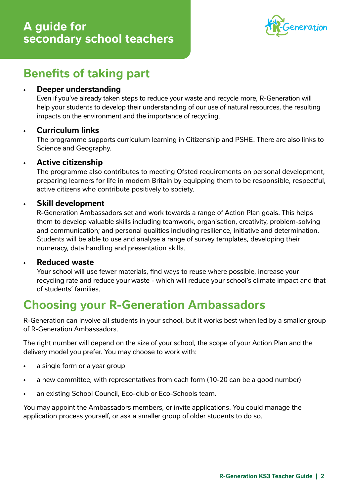

## **Benefits of taking part**

#### • **Deeper understanding**

Even if you've already taken steps to reduce your waste and recycle more, R-Generation will help your students to develop their understanding of our use of natural resources, the resulting impacts on the environment and the importance of recycling.

#### • **Curriculum links**

The programme supports curriculum learning in Citizenship and PSHE. There are also links to Science and Geography.

#### • **Active citizenship**

The programme also contributes to meeting Ofsted requirements on personal development, preparing learners for life in modern Britain by equipping them to be responsible, respectful, active citizens who contribute positively to society.

#### • **Skill development**

R-Generation Ambassadors set and work towards a range of Action Plan goals. This helps them to develop valuable skills including teamwork, organisation, creativity, problem-solving and communication; and personal qualities including resilience, initiative and determination. Students will be able to use and analyse a range of survey templates, developing their numeracy, data handling and presentation skills.

#### • **Reduced waste**

Your school will use fewer materials, find ways to reuse where possible, increase your recycling rate and reduce your waste - which will reduce your school's climate impact and that of students' families.

## **Choosing your R-Generation Ambassadors**

R-Generation can involve all students in your school, but it works best when led by a smaller group of R-Generation Ambassadors.

The right number will depend on the size of your school, the scope of your Action Plan and the delivery model you prefer. You may choose to work with:

- a single form or a year group
- a new committee, with representatives from each form (10-20 can be a good number)
- an existing School Council, Eco-club or Eco-Schools team.

You may appoint the Ambassadors members, or invite applications. You could manage the application process yourself, or ask a smaller group of older students to do so.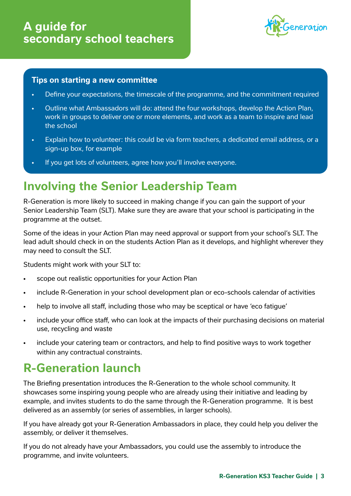

#### **Tips on starting a new committee**

- Define your expectations, the timescale of the programme, and the commitment required
- Outline what Ambassadors will do: attend the four workshops, develop the Action Plan, work in groups to deliver one or more elements, and work as a team to inspire and lead the school
- Explain how to volunteer: this could be via form teachers, a dedicated email address, or a sign-up box, for example
- If you get lots of volunteers, agree how you'll involve everyone.

## **Involving the Senior Leadership Team**

R-Generation is more likely to succeed in making change if you can gain the support of your Senior Leadership Team (SLT). Make sure they are aware that your school is participating in the programme at the outset.

Some of the ideas in your Action Plan may need approval or support from your school's SLT. The lead adult should check in on the students Action Plan as it develops, and highlight wherever they may need to consult the SLT.

Students might work with your SLT to:

- scope out realistic opportunities for your Action Plan
- include R-Generation in your school development plan or eco-schools calendar of activities
- help to involve all staff, including those who may be sceptical or have 'eco fatigue'
- include your office staff, who can look at the impacts of their purchasing decisions on material use, recycling and waste
- include your catering team or contractors, and help to find positive ways to work together within any contractual constraints.

## **R-Generation launch**

The Briefing presentation introduces the R-Generation to the whole school community. It showcases some inspiring young people who are already using their initiative and leading by example, and invites students to do the same through the R-Generation programme. It is best delivered as an assembly (or series of assemblies, in larger schools).

If you have already got your R-Generation Ambassadors in place, they could help you deliver the assembly, or deliver it themselves.

If you do not already have your Ambassadors, you could use the assembly to introduce the programme, and invite volunteers.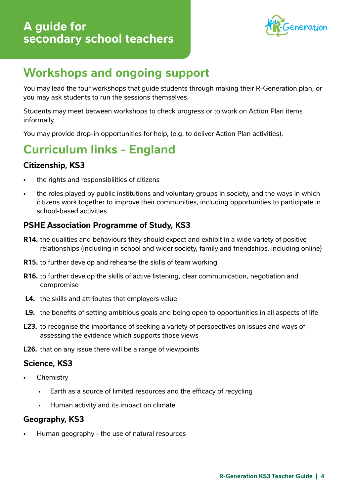

# **Workshops and ongoing support**

You may lead the four workshops that guide students through making their R-Generation plan, or you may ask students to run the sessions themselves.

Students may meet between workshops to check progress or to work on Action Plan items informally.

You may provide drop-in opportunities for help, (e.g. to deliver Action Plan activities).

# **Curriculum links - England**

### **Citizenship, KS3**

- the rights and responsibilities of citizens
- the roles played by public institutions and voluntary groups in society, and the ways in which citizens work together to improve their communities, including opportunities to participate in school-based activities

### **PSHE Association Programme of Study, KS3**

- **R14.** the qualities and behaviours they should expect and exhibit in a wide variety of positive relationships (including in school and wider society, family and friendships, including online)
- **R15.** to further develop and rehearse the skills of team working
- **R16.** to further develop the skills of active listening, clear communication, negotiation and compromise
- **L4.** the skills and attributes that employers value
- **L9.** the benefits of setting ambitious goals and being open to opportunities in all aspects of life
- **L23.** to recognise the importance of seeking a variety of perspectives on issues and ways of assessing the evidence which supports those views
- **L26.** that on any issue there will be a range of viewpoints

### **Science, KS3**

- **Chemistry** 
	- Earth as a source of limited resources and the efficacy of recycling
	- Human activity and its impact on climate

### **Geography, KS3**

• Human geography - the use of natural resources